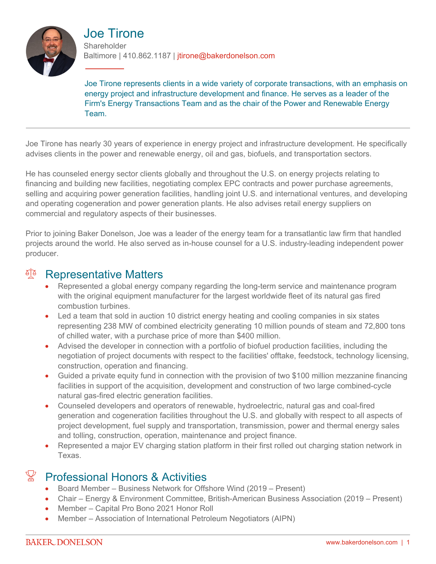

Joe Tirone **Shareholder** Baltimore | 410.862.1187 | jtirone@bakerdonelson.com

Joe Tirone represents clients in a wide variety of corporate transactions, with an emphasis on energy project and infrastructure development and finance. He serves as a leader of the Firm's Energy Transactions Team and as the chair of the Power and Renewable Energy Team.

Joe Tirone has nearly 30 years of experience in energy project and infrastructure development. He specifically advises clients in the power and renewable energy, oil and gas, biofuels, and transportation sectors.

He has counseled energy sector clients globally and throughout the U.S. on energy projects relating to financing and building new facilities, negotiating complex EPC contracts and power purchase agreements, selling and acquiring power generation facilities, handling joint U.S. and international ventures, and developing and operating cogeneration and power generation plants. He also advises retail energy suppliers on commercial and regulatory aspects of their businesses.

Prior to joining Baker Donelson, Joe was a leader of the energy team for a transatlantic law firm that handled projects around the world. He also served as in-house counsel for a U.S. industry-leading independent power producer.

## <sup>A</sup> Representative Matters

- Represented a global energy company regarding the long-term service and maintenance program with the original equipment manufacturer for the largest worldwide fleet of its natural gas fired combustion turbines.
- Led a team that sold in auction 10 district energy heating and cooling companies in six states representing 238 MW of combined electricity generating 10 million pounds of steam and 72,800 tons of chilled water, with a purchase price of more than \$400 million.
- Advised the developer in connection with a portfolio of biofuel production facilities, including the negotiation of project documents with respect to the facilities' offtake, feedstock, technology licensing, construction, operation and financing.
- Guided a private equity fund in connection with the provision of two \$100 million mezzanine financing facilities in support of the acquisition, development and construction of two large combined-cycle natural gas-fired electric generation facilities.
- Counseled developers and operators of renewable, hydroelectric, natural gas and coal-fired generation and cogeneration facilities throughout the U.S. and globally with respect to all aspects of project development, fuel supply and transportation, transmission, power and thermal energy sales and tolling, construction, operation, maintenance and project finance.
- Represented a major EV charging station platform in their first rolled out charging station network in Texas.

# $\mathbb{X}$  Professional Honors & Activities

- Board Member Business Network for Offshore Wind (2019 Present)
- Chair Energy & Environment Committee, British-American Business Association (2019 Present)
- Member Capital Pro Bono 2021 Honor Roll
- Member Association of International Petroleum Negotiators (AIPN)